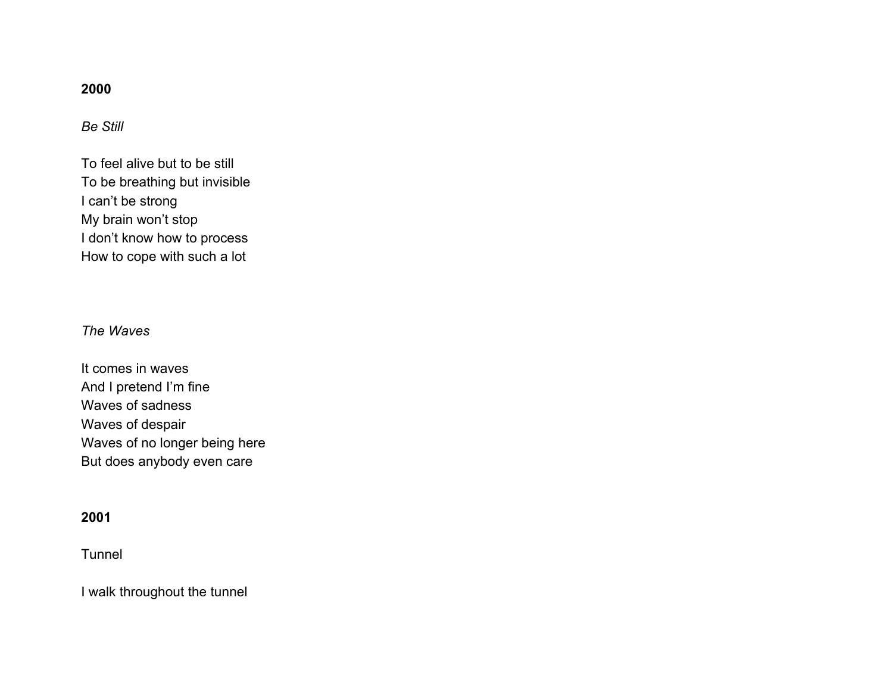# **2000**

*Be Still*

To feel alive but to be still To be breathing but invisible I can't be strong My brain won't stop I don't know how to process How to cope with such a lot

# *The Waves*

It comes in waves And I pretend I'm fine Waves of sadness Waves of despair Waves of no longer being here But does anybody even care

## **2001**

**Tunnel** 

I walk throughout the tunnel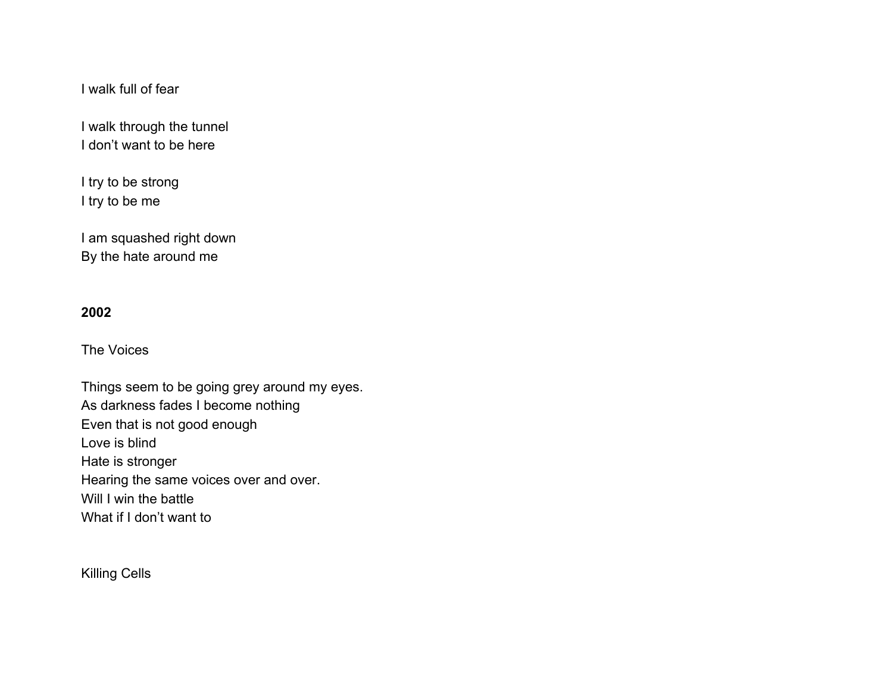I walk full of fear

I walk through the tunnel I don't want to be here

I try to be strong I try to be me

I am squashed right down By the hate around me

### **2002**

The Voices

Things seem to be going grey around my eyes. As darkness fades I become nothing Even that is not good enough Love is blind Hate is stronger Hearing the same voices over and over. Will I win the battle What if I don't want to

Killing Cells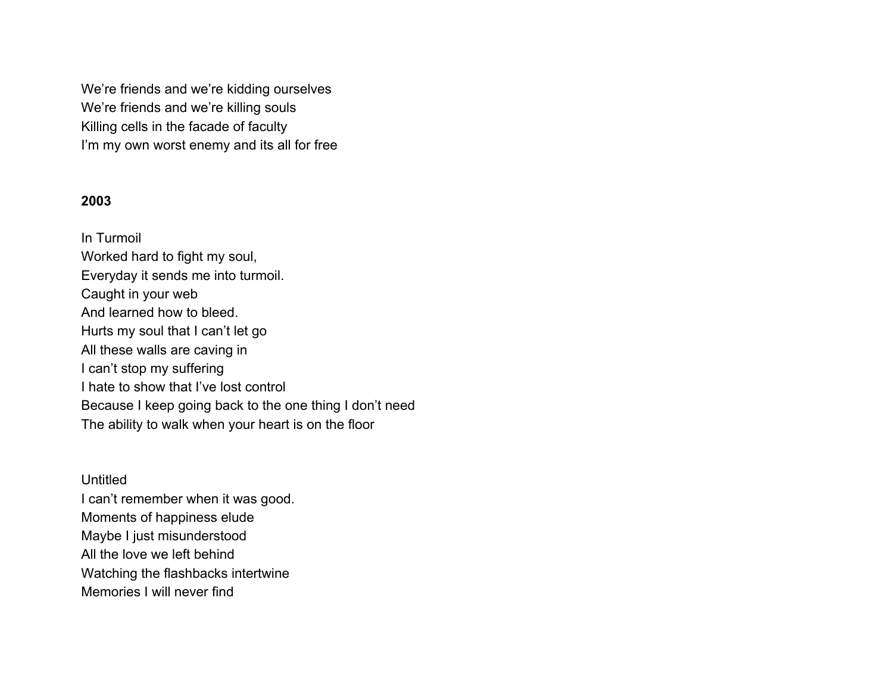We're friends and we're kidding ourselves We're friends and we're killing souls Killing cells in the facade of faculty I'm my own worst enemy and its all for free

## **2003**

In Turmoil Worked hard to fight my soul, Everyday it sends me into turmoil. Caught in your web And learned how to bleed. Hurts my soul that I can't let go All these walls are caving in I can't stop my suffering I hate to show that I've lost control Because I keep going back to the one thing I don't need The ability to walk when your heart is on the floor

**Untitled** I can't remember when it was good. Moments of happiness elude Maybe I just misunderstood All the love we left behind Watching the flashbacks intertwine Memories I will never find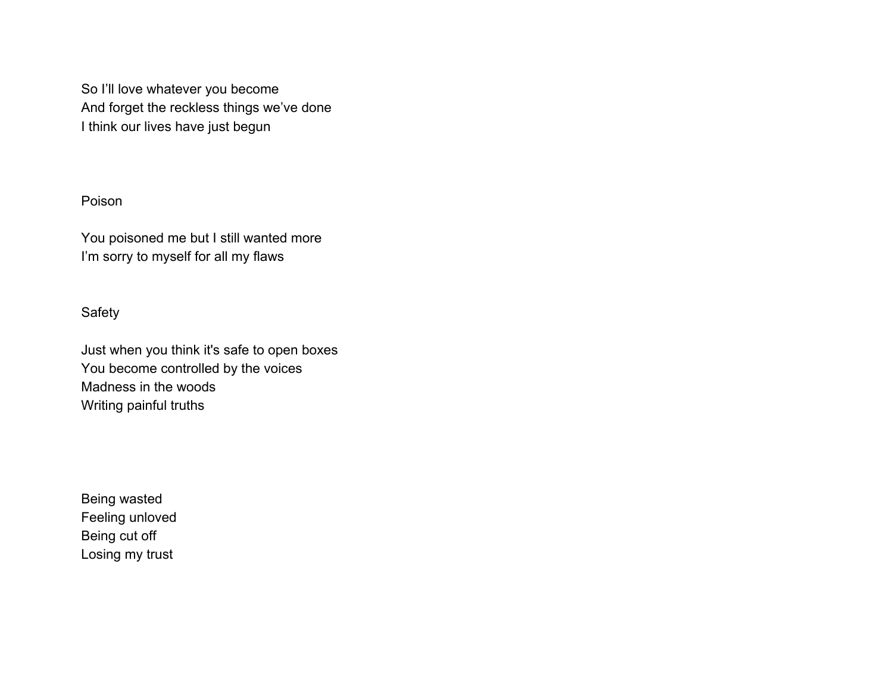So I'll love whatever you become And forget the reckless things we've done I think our lives have just begun

# Poison

You poisoned me but I still wanted more I'm sorry to myself for all my flaws

## Safety

Just when you think it's safe to open boxes You become controlled by the voices Madness in the woods Writing painful truths

Being wasted Feeling unloved Being cut off Losing my trust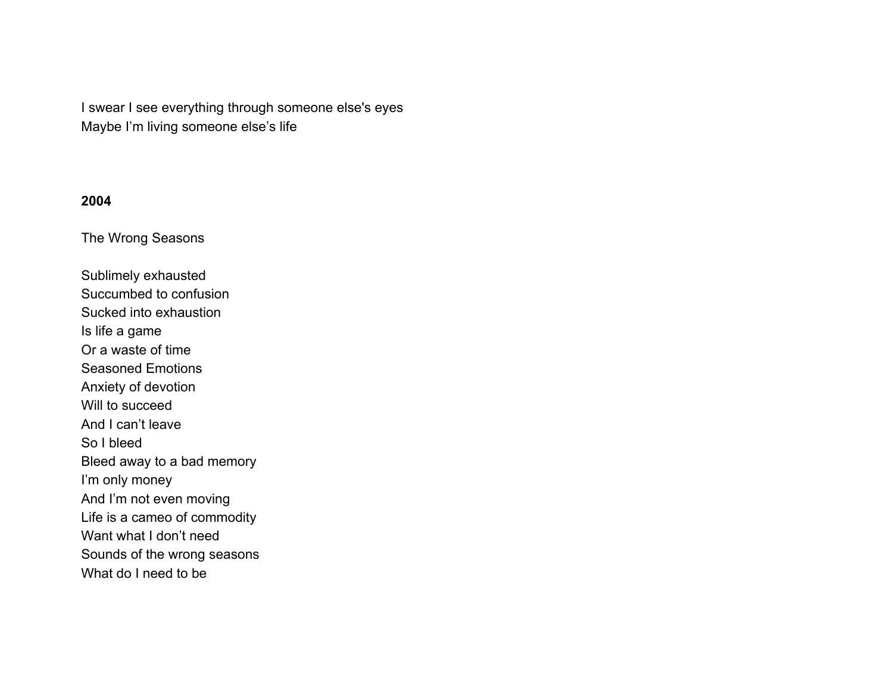I swear I see everything through someone else's eyes Maybe I'm living someone else's life

### **2004**

The Wrong Seasons

Sublimely exhausted Succumbed to confusion Sucked into exhaustion Is life a game Or a waste of time Seasoned Emotions Anxiety of devotion Will to succeed And I can't leave So I bleed Bleed away to a bad memory I'm only money And I'm not even moving Life is a cameo of commodity Want what I don't need Sounds of the wrong seasons What do I need to be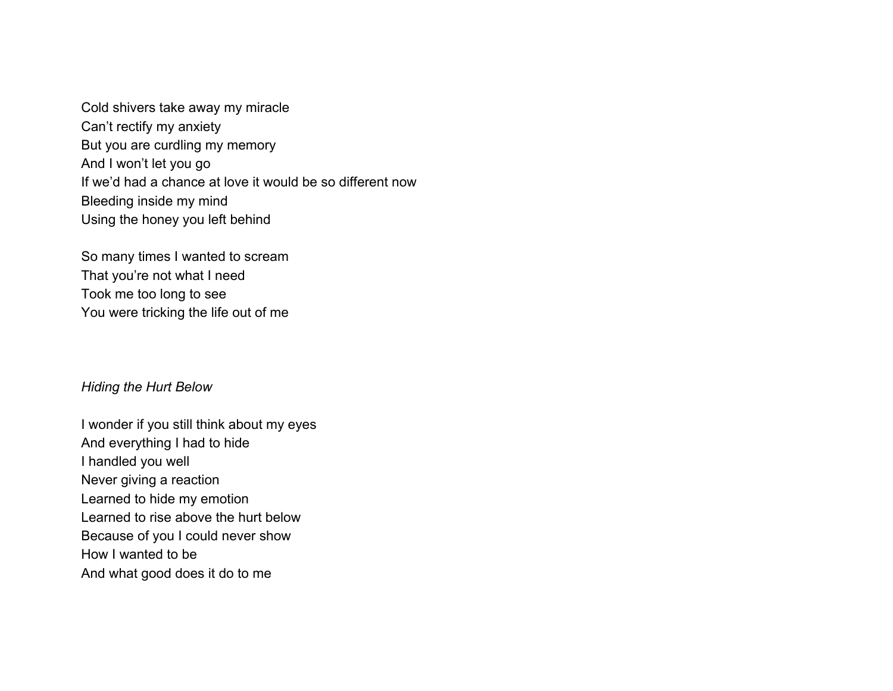Cold shivers take away my miracle Can't rectify my anxiety But you are curdling my memory And I won't let you go If we'd had a chance at love it would be so different now Bleeding inside my mind Using the honey you left behind

So many times I wanted to scream That you're not what I need Took me too long to see You were tricking the life out of me

#### *Hiding the Hurt Below*

I wonder if you still think about my eyes And everything I had to hide I handled you well Never giving a reaction Learned to hide my emotion Learned to rise above the hurt below Because of you I could never show How I wanted to be And what good does it do to me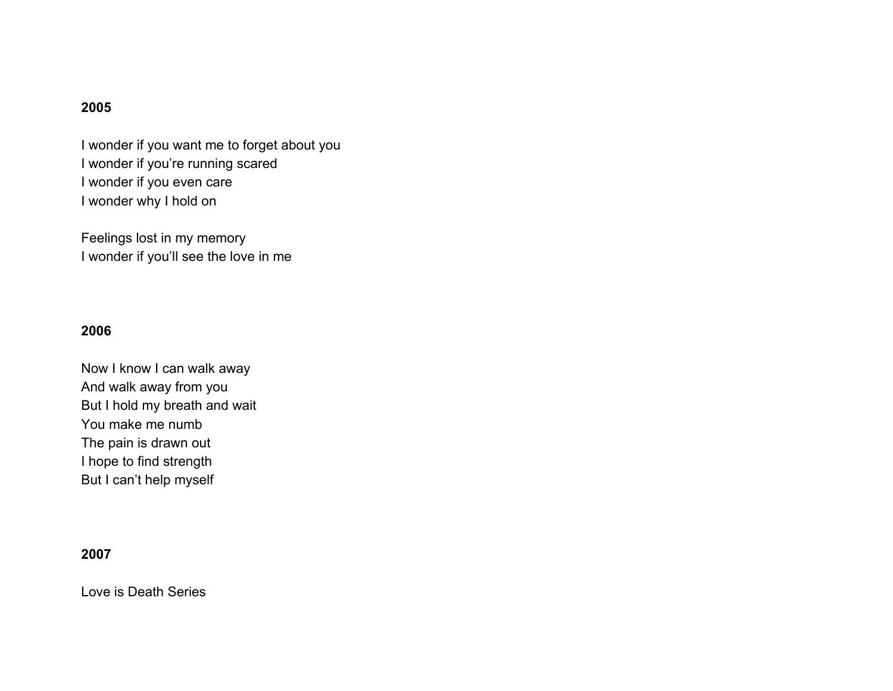## **2005**

I wonder if you want me to forget about you I wonder if you're running scared I wonder if you even care I wonder why I hold on

Feelings lost in my memory I wonder if you'll see the love in me

# **2006**

Now I know I can walk away And walk away from you But I hold my breath and wait You make me numb The pain is drawn out I hope to find strength But I can't help myself

## **2007**

Love is Death Series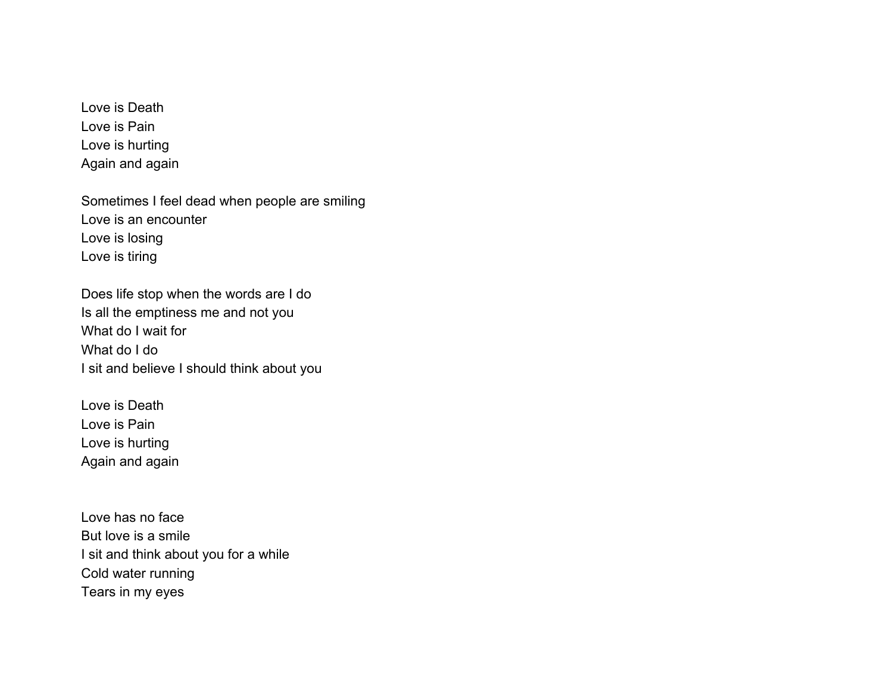Love is Death Love is Pain Love is hurting Again and again

Sometimes I feel dead when people are smiling Love is an encounter Love is losing Love is tiring

Does life stop when the words are I do Is all the emptiness me and not you What do I wait for What do I do I sit and believe I should think about you

Love is Death Love is Pain Love is hurting Again and again

Love has no face But love is a smile I sit and think about you for a while Cold water running Tears in my eyes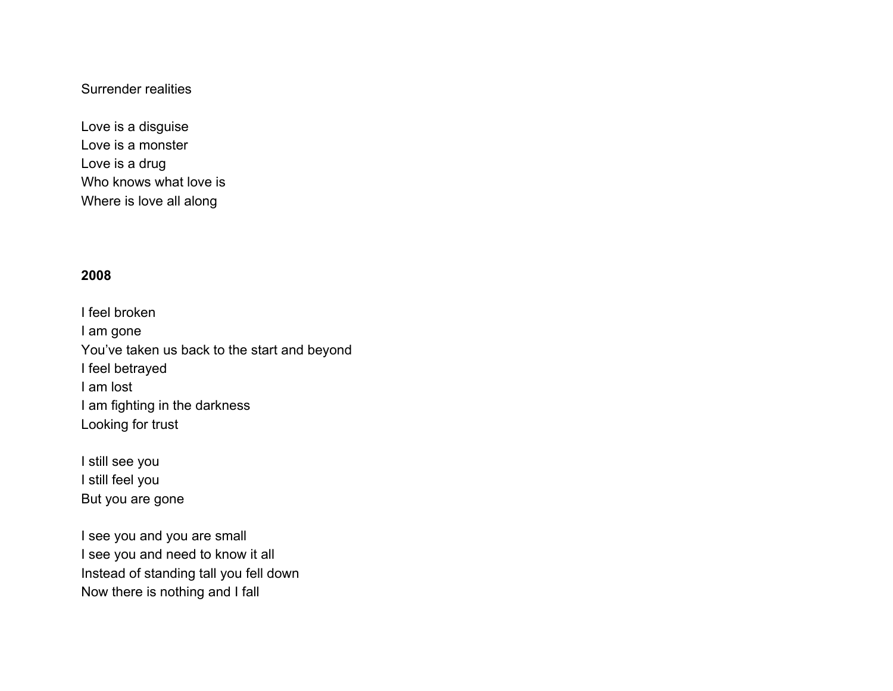## Surrender realities

Love is a disguise Love is a monster Love is a drug Who knows what love is Where is love all along

# **2008**

I feel broken I am gone You've taken us back to the start and beyond I feel betrayed I am lost I am fighting in the darkness Looking for trust

I still see you I still feel you But you are gone

I see you and you are small I see you and need to know it all Instead of standing tall you fell down Now there is nothing and I fall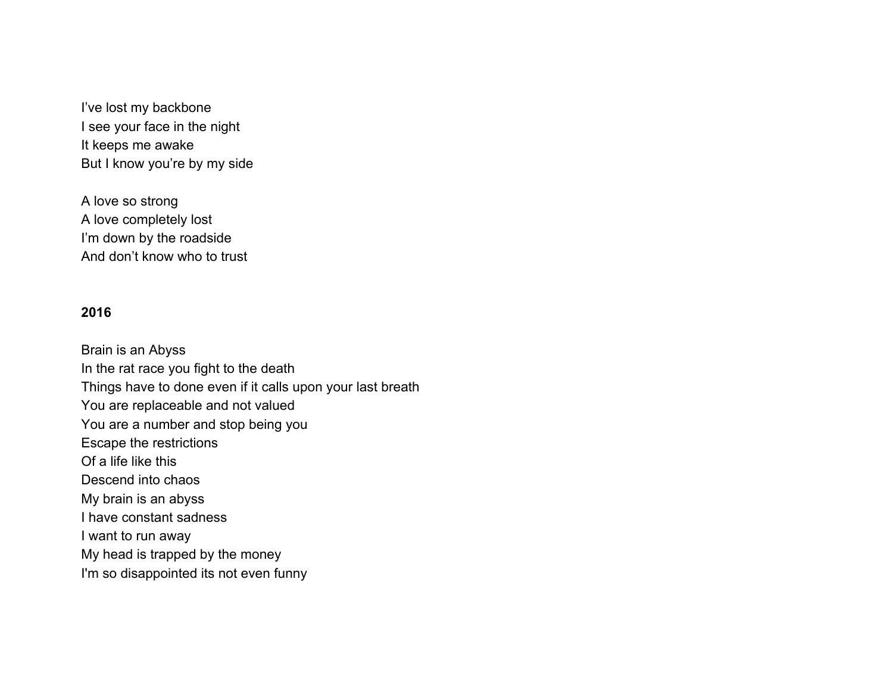I've lost my backbone I see your face in the night It keeps me awake But I know you're by my side

A love so strong A love completely lost I'm down by the roadside And don't know who to trust

### **2016**

Brain is an Abyss In the rat race you fight to the death Things have to done even if it calls upon your last breath You are replaceable and not valued You are a number and stop being you Escape the restrictions Of a life like this Descend into chaos My brain is an abyss I have constant sadness I want to run away My head is trapped by the money I'm so disappointed its not even funny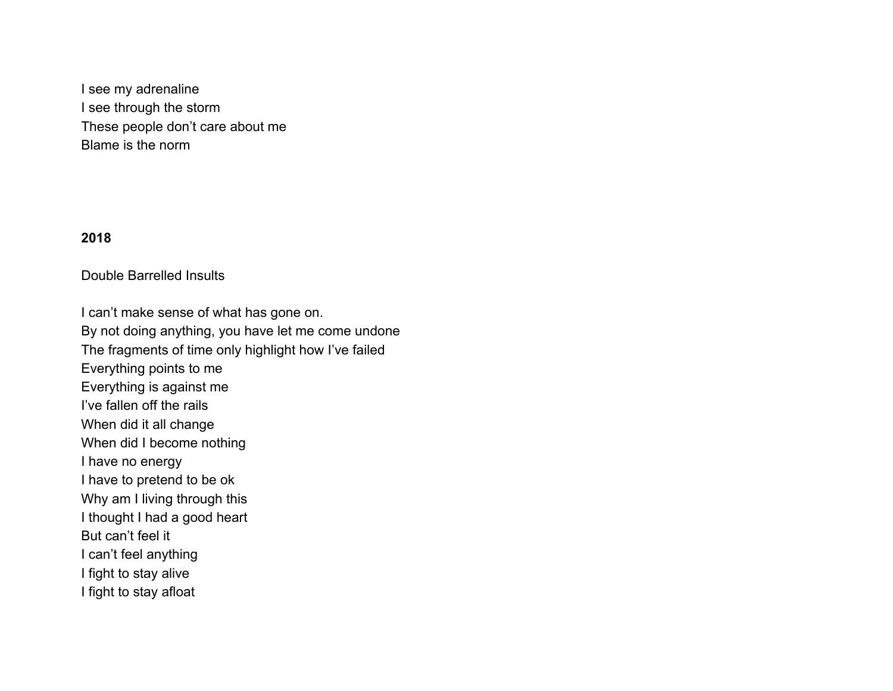I see my adrenaline I see through the storm These people don't care about me Blame is the norm

### **2018**

### Double Barrelled Insults

I can't make sense of what has gone on. By not doing anything, you have let me come undone The fragments of time only highlight how I've failed Everything points to me Everything is against me I've fallen off the rails When did it all change When did I become nothing I have no energy I have to pretend to be ok Why am I living through this I thought I had a good heart But can't feel it I can't feel anything I fight to stay alive I fight to stay afloat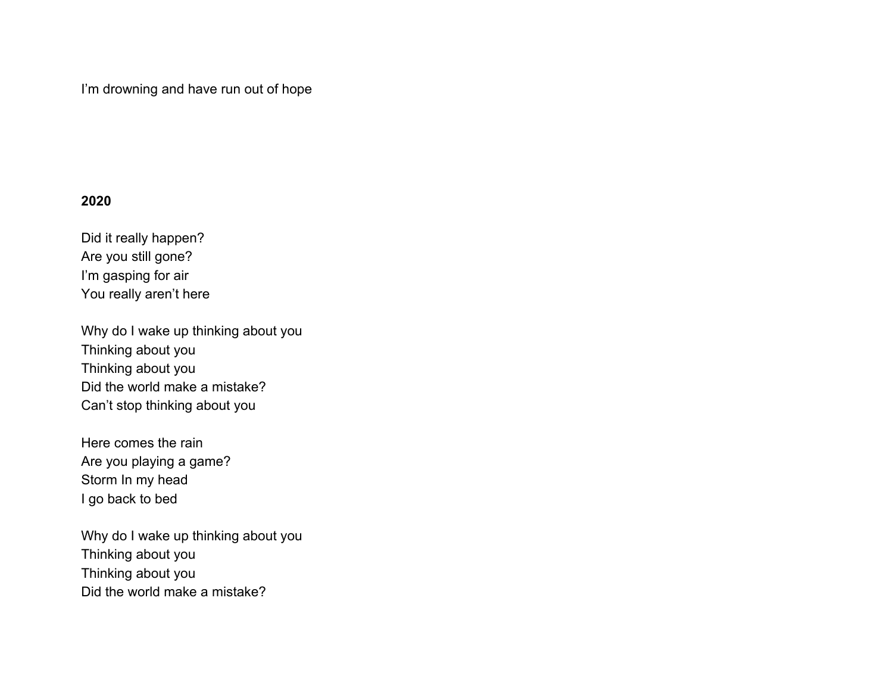I'm drowning and have run out of hope

### **2020**

Did it really happen? Are you still gone? I'm gasping for air You really aren't here

Why do I wake up thinking about you Thinking about you Thinking about you Did the world make a mistake? Can't stop thinking about you

Here comes the rain Are you playing a game? Storm In my head I go back to bed

Why do I wake up thinking about you Thinking about you Thinking about you Did the world make a mistake?